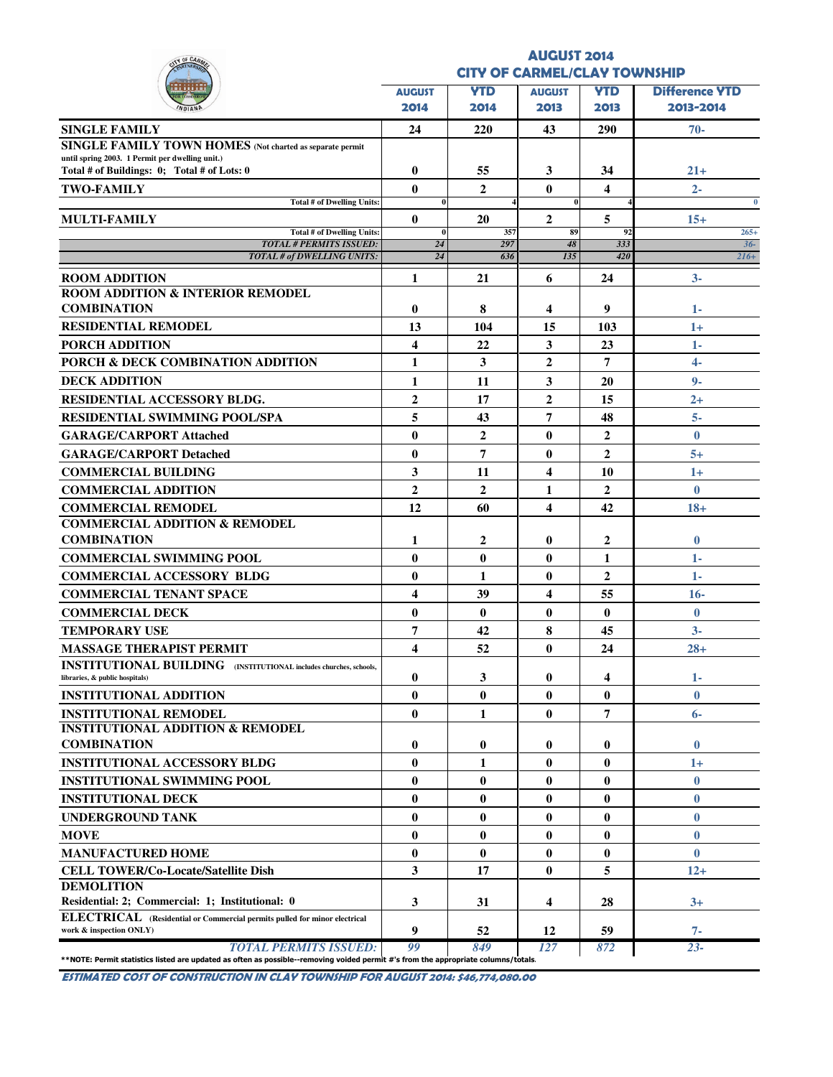| <b>JOF CAA</b>                                                                                                                                                     | <b>AUGUST 2014</b>                  |                |                         |                  |                       |
|--------------------------------------------------------------------------------------------------------------------------------------------------------------------|-------------------------------------|----------------|-------------------------|------------------|-----------------------|
|                                                                                                                                                                    | <b>CITY OF CARMEL/CLAY TOWNSHIP</b> |                |                         |                  |                       |
|                                                                                                                                                                    | <b>AUGUST</b>                       | <b>YTD</b>     | <b>AUGUST</b>           | <b>YTD</b>       | <b>Difference YTD</b> |
|                                                                                                                                                                    | 2014                                | 2014           | 2013                    | 2013             | 2013-2014             |
| <b>SINGLE FAMILY</b>                                                                                                                                               | 24                                  | 220            | 43                      | 290              | $70-$                 |
| <b>SINGLE FAMILY TOWN HOMES</b> (Not charted as separate permit                                                                                                    |                                     |                |                         |                  |                       |
| until spring 2003. 1 Permit per dwelling unit.)<br>Total # of Buildings: 0; Total # of Lots: 0                                                                     | 0                                   | 55             | 3                       | 34               | $21+$                 |
| <b>TWO-FAMILY</b>                                                                                                                                                  | $\bf{0}$                            | $\overline{2}$ | $\bf{0}$                | 4                | $2 -$                 |
| <b>Total # of Dwelling Units:</b>                                                                                                                                  | $\bf{0}$                            |                | $\bf{0}$                |                  | $\bf{0}$              |
| <b>MULTI-FAMILY</b>                                                                                                                                                | $\bf{0}$                            | 20             | $\mathbf{2}$            | 5                | $15+$                 |
| <b>Total # of Dwelling Units:</b><br><b>TOTAL # PERMITS ISSUED:</b>                                                                                                | $\bf{0}$<br>$\overline{24}$         | 357<br>297     | 89<br>48                | 92<br>333        | $265+$<br>$36-$       |
| <b>TOTAL # of DWELLING UNITS:</b>                                                                                                                                  | 24                                  | 636            | 135                     | 420              | $216+$                |
| <b>ROOM ADDITION</b>                                                                                                                                               | 1                                   | 21             | 6                       | 24               | $3-$                  |
| <b>ROOM ADDITION &amp; INTERIOR REMODEL</b>                                                                                                                        |                                     |                |                         |                  |                       |
| <b>COMBINATION</b>                                                                                                                                                 | $\bf{0}$                            | 8              | 4                       | 9                | $1-$                  |
| <b>RESIDENTIAL REMODEL</b>                                                                                                                                         | 13                                  | 104            | 15                      | 103              | $1+$                  |
| <b>PORCH ADDITION</b>                                                                                                                                              | 4                                   | 22             | 3                       | 23               | 1-                    |
| PORCH & DECK COMBINATION ADDITION                                                                                                                                  | 1                                   | 3              | $\overline{2}$          | 7                | $4 -$                 |
| <b>DECK ADDITION</b>                                                                                                                                               | 1                                   | 11             | 3                       | 20               | $9 -$                 |
| <b>RESIDENTIAL ACCESSORY BLDG.</b>                                                                                                                                 | $\overline{2}$                      | 17             | $\overline{2}$          | 15               | $2+$                  |
| <b>RESIDENTIAL SWIMMING POOL/SPA</b>                                                                                                                               | 5                                   | 43             | 7                       | 48               | $5-$                  |
| <b>GARAGE/CARPORT Attached</b>                                                                                                                                     | $\bf{0}$                            | $\overline{2}$ | $\bf{0}$                | $\overline{2}$   | $\bf{0}$              |
| <b>GARAGE/CARPORT Detached</b>                                                                                                                                     | $\bf{0}$                            | 7              | $\bf{0}$                | $\overline{2}$   | $5+$                  |
| <b>COMMERCIAL BUILDING</b>                                                                                                                                         | 3                                   | 11             | 4                       | 10               | $1+$                  |
| <b>COMMERCIAL ADDITION</b>                                                                                                                                         | $\overline{2}$                      | $\overline{2}$ | 1                       | $\overline{2}$   | $\mathbf{0}$          |
| <b>COMMERCIAL REMODEL</b>                                                                                                                                          | 12                                  | 60             | $\overline{\mathbf{4}}$ | 42               | $18+$                 |
| <b>COMMERCIAL ADDITION &amp; REMODEL</b><br><b>COMBINATION</b>                                                                                                     | 1                                   | 2              | $\bf{0}$                | $\boldsymbol{2}$ | $\mathbf{0}$          |
| <b>COMMERCIAL SWIMMING POOL</b>                                                                                                                                    | $\bf{0}$                            | $\bf{0}$       | $\bf{0}$                | 1                | $1-$                  |
| <b>COMMERCIAL ACCESSORY BLDG</b>                                                                                                                                   | $\bf{0}$                            | 1              | $\bf{0}$                | $\overline{2}$   | $1 -$                 |
| <b>COMMERCIAL TENANT SPACE</b>                                                                                                                                     | 4                                   | 39             | $\overline{\mathbf{4}}$ | 55               | $16-$                 |
| <b>COMMERCIAL DECK</b>                                                                                                                                             | $\bf{0}$                            | $\bf{0}$       | $\bf{0}$                | $\bf{0}$         | $\bf{0}$              |
| <b>TEMPORARY USE</b>                                                                                                                                               | 7                                   | 42             | 8                       | 45               | $3 -$                 |
| <b>MASSAGE THERAPIST PERMIT</b>                                                                                                                                    | $\overline{\mathbf{4}}$             | 52             | $\bf{0}$                | 24               | $28+$                 |
| <b>INSTITUTIONAL BUILDING</b> (INSTITUTIONAL includes churches, schools,<br>libraries, & public hospitals)                                                         | 0                                   | 3              | $\bf{0}$                | 4                | 1-                    |
| <b>INSTITUTIONAL ADDITION</b>                                                                                                                                      | $\bf{0}$                            | $\bf{0}$       | $\bf{0}$                | $\bf{0}$         | $\bf{0}$              |
| <b>INSTITUTIONAL REMODEL</b>                                                                                                                                       | $\bf{0}$                            | 1              | $\bf{0}$                | 7                | $6-$                  |
| <b>INSTITUTIONAL ADDITION &amp; REMODEL</b>                                                                                                                        |                                     |                |                         |                  |                       |
| <b>COMBINATION</b>                                                                                                                                                 | $\bf{0}$                            | $\bf{0}$       | 0                       | $\bf{0}$         | $\bf{0}$              |
| <b>INSTITUTIONAL ACCESSORY BLDG</b>                                                                                                                                | $\bf{0}$                            | 1              | $\bf{0}$                | $\bf{0}$         | $1+$                  |
| <b>INSTITUTIONAL SWIMMING POOL</b>                                                                                                                                 | $\bf{0}$                            | $\bf{0}$       | $\bf{0}$                | $\bf{0}$         | $\mathbf{0}$          |
| <b>INSTITUTIONAL DECK</b>                                                                                                                                          | $\bf{0}$                            | $\bf{0}$       | $\bf{0}$                | $\bf{0}$         | 0                     |
| <b>UNDERGROUND TANK</b>                                                                                                                                            | $\bf{0}$                            | $\bf{0}$       | $\bf{0}$                | $\bf{0}$         | $\bf{0}$              |
| <b>MOVE</b>                                                                                                                                                        | $\bf{0}$                            | $\bf{0}$       | 0                       | $\bf{0}$         | $\bf{0}$              |
| <b>MANUFACTURED HOME</b>                                                                                                                                           | $\bf{0}$                            | $\bf{0}$       | $\bf{0}$                | $\bf{0}$         | $\bf{0}$              |
| <b>CELL TOWER/Co-Locate/Satellite Dish</b>                                                                                                                         | 3                                   | 17             | $\bf{0}$                | 5                | $12+$                 |
| <b>DEMOLITION</b>                                                                                                                                                  |                                     |                |                         |                  |                       |
| Residential: 2; Commercial: 1; Institutional: 0<br>ELECTRICAL (Residential or Commercial permits pulled for minor electrical                                       | 3                                   | 31             | 4                       | 28               | $3+$                  |
| work & inspection ONLY)                                                                                                                                            | 9                                   | 52             | 12                      | 59               | 7-                    |
| <b>TOTAL PERMITS ISSUED:</b><br>**NOTE: Permit statistics listed are updated as often as possible--removing voided permit #'s from the appropriate columns/totals. | 99                                  | 849            | 127                     | 872              | $23 -$                |

ESTIMATED COST OF CONSTRUCTION IN CLAY TOWNSHIP FOR AUGUST 2014: \$46,774,080.00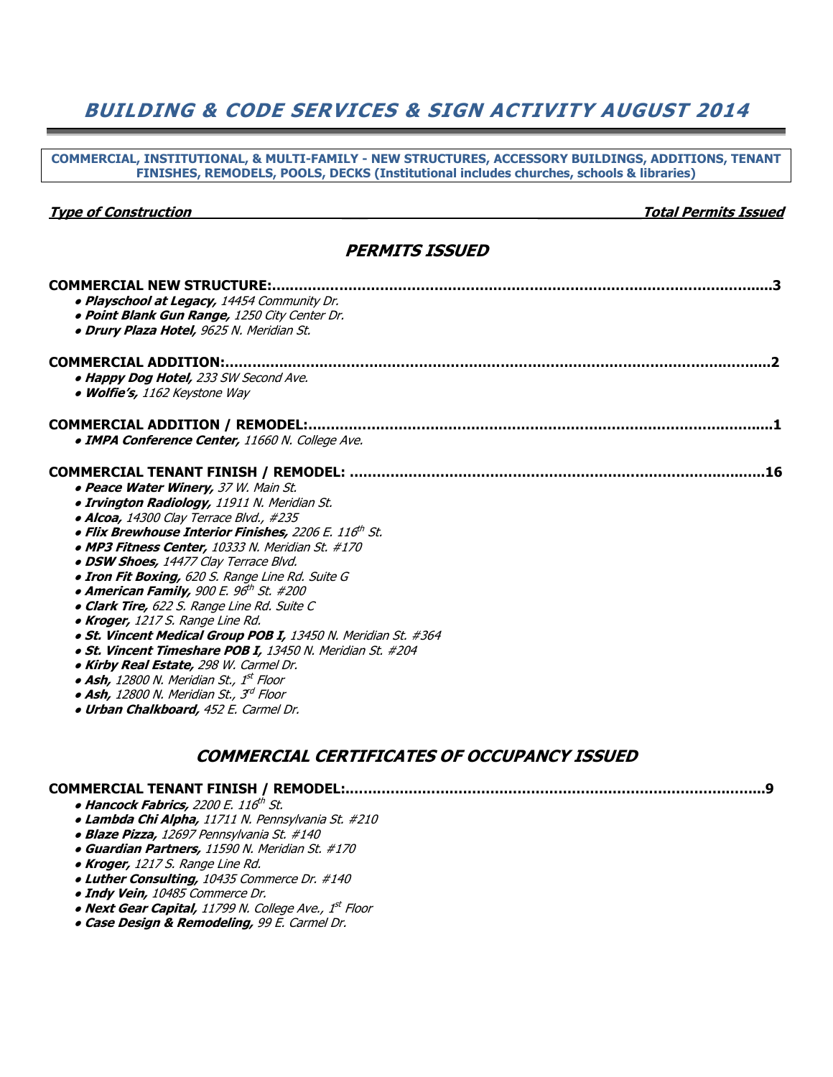## BUILDING & CODE SERVICES & SIGN ACTIVITY AUGUST 2014

COMMERCIAL, INSTITUTIONAL, & MULTI-FAMILY - NEW STRUCTURES, ACCESSORY BUILDINGS, ADDITIONS, TENANT FINISHES, REMODELS, POOLS, DECKS (Institutional includes churches, schools & libraries)

#### Type of Construction **The Construction** of the Construction of the Construction of the Construction of the Construction of the Construction of the Construction of the Construction of the Construction of the Construction of

#### PERMITS ISSUED

| <b>COMMERCIAL NEW STRUCTURE:.</b><br>. Playschool at Legacy, 14454 Community Dr. |
|----------------------------------------------------------------------------------|
| . Point Blank Gun Range, 1250 City Center Dr.                                    |
| <b>. Drury Plaza Hotel, 9625 N. Meridian St.</b>                                 |
| <b>COMMERCIAL ADDITION:</b>                                                      |
| • Happy Dog Hotel, 233 SW Second Ave.                                            |
| • Wolfie's, 1162 Keystone Way                                                    |
| <b>COMMERCIAL ADDITION / REMODEL:.</b>                                           |
| • IMPA Conference Center, 11660 N. College Ave.                                  |
| 16<br><b>COMMERCIAL TENANT FINISH / REMODEL: .</b>                               |
| • Peace Water Winery, 37 W. Main St.                                             |
| <b>. Irvington Radiology, 11911 N. Meridian St.</b>                              |
| • Alcoa, 14300 Clay Terrace Blvd., #235                                          |
| • Flix Brewhouse Interior Finishes, 2206 E. 116th St.                            |
| • MP3 Fitness Center, 10333 N. Meridian St. #170                                 |
| · DSW Shoes, 14477 Clay Terrace Blvd.                                            |
| <b>. Iron Fit Boxing,</b> 620 S. Range Line Rd. Suite G                          |
| • American Family, 900 E. 96 <sup>th</sup> St. #200                              |
| · Clark Tire, 622 S. Range Line Rd. Suite C                                      |
| • Kroger, 1217 S. Range Line Rd.                                                 |
| • St. Vincent Medical Group POB I, 13450 N. Meridian St. #364                    |
| · St. Vincent Timeshare POB I, 13450 N. Meridian St. #204                        |
| . Kirby Real Estate, 298 W. Carmel Dr.                                           |
| • Ash, 12800 N. Meridian St., 1st Floor                                          |
| $\bullet$ Ash, 12800 N. Meridian St., $3^{rd}$ Floor                             |
| · Urban Chalkboard, 452 E. Carmel Dr.                                            |
|                                                                                  |

#### COMMERCIAL CERTIFICATES OF OCCUPANCY ISSUED

| • Hancock Fabrics, 2200 E. 116th St.               |
|----------------------------------------------------|
| • Lambda Chi Alpha, 11711 N. Pennsylvania St. #210 |
| • Blaze Pizza, 12697 Pennsylvania St. #140         |
| • Guardian Partners, 11590 N. Meridian St. #170    |
| • Kroger, 1217 S. Range Line Rd.                   |

- Luther Consulting, 10435 Commerce Dr. #140
- Indy Vein, 10485 Commerce Dr.
- o Next Gear Capital, 11799 N. College Ave., 1<sup>st</sup> Floor
	- Case Design & Remodeling, 99 E. Carmel Dr.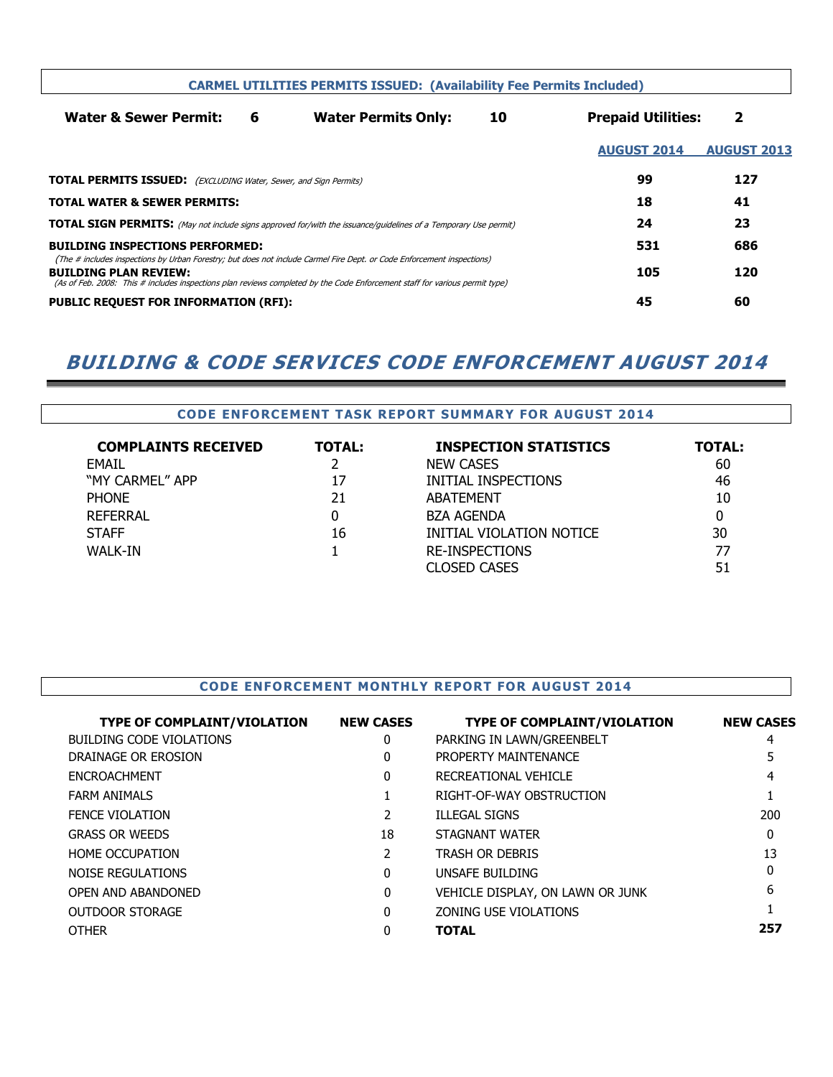| <b>CARMEL UTILITIES PERMITS ISSUED: (Availability Fee Permits Included)</b>                                                                                 |   |                                                                                                                        |    |                           |                    |
|-------------------------------------------------------------------------------------------------------------------------------------------------------------|---|------------------------------------------------------------------------------------------------------------------------|----|---------------------------|--------------------|
| <b>Water &amp; Sewer Permit:</b>                                                                                                                            | 6 | <b>Water Permits Only:</b>                                                                                             | 10 | <b>Prepaid Utilities:</b> | 2                  |
|                                                                                                                                                             |   |                                                                                                                        |    | <b>AUGUST 2014</b>        | <b>AUGUST 2013</b> |
| <b>TOTAL PERMITS ISSUED:</b> (EXCLUDING Water, Sewer, and Sign Permits)                                                                                     |   |                                                                                                                        |    | 99                        | 127                |
| <b>TOTAL WATER &amp; SEWER PERMITS:</b>                                                                                                                     |   |                                                                                                                        |    | 18                        | 41                 |
| <b>TOTAL SIGN PERMITS:</b> (May not include signs approved for/with the issuance/guidelines of a Temporary Use permit)                                      |   |                                                                                                                        |    | 24                        | 23                 |
| <b>BUILDING INSPECTIONS PERFORMED:</b>                                                                                                                      |   |                                                                                                                        |    | 531                       | 686                |
| <b>BUILDING PLAN REVIEW:</b><br>(As of Feb. 2008: This # includes inspections plan reviews completed by the Code Enforcement staff for various permit type) |   | (The # includes inspections by Urban Forestry; but does not include Carmel Fire Dept. or Code Enforcement inspections) |    | 105                       | 120                |
| <b>PUBLIC REQUEST FOR INFORMATION (RFI):</b>                                                                                                                |   |                                                                                                                        |    | 45                        | 60                 |

## BUILDING & CODE SERVICES CODE ENFORCEMENT AUGUST 2014

| <b>CODE ENFORCEMENT TASK REPORT SUMMARY FOR AUGUST 2014</b> |               |                              |               |
|-------------------------------------------------------------|---------------|------------------------------|---------------|
| <b>COMPLAINTS RECEIVED</b>                                  | <b>TOTAL:</b> | <b>INSPECTION STATISTICS</b> | <b>TOTAL:</b> |
| <b>FMAIL</b>                                                |               | <b>NEW CASES</b>             | 60            |
| "MY CARMEL" APP                                             | 17            | INITIAL INSPECTIONS          | 46            |
| <b>PHONE</b>                                                | 21            | ABATEMENT                    | 10            |
| <b>REFERRAL</b>                                             | 0             | <b>BZA AGENDA</b>            |               |
| <b>STAFF</b>                                                | 16            | INITIAL VIOLATION NOTICE     | 30            |
| WALK-IN                                                     |               | <b>RE-INSPECTIONS</b>        | 77            |
|                                                             |               | <b>CLOSED CASES</b>          | 51            |

#### CODE ENFORCEMENT MONTHLY REPORT FOR AUGUST 2014

| <b>TYPE OF COMPLAINT/VIOLATION</b> | <b>NEW CASES</b> | <b>TYPE OF COMPLAINT/VIOLATION</b> | <b>NEW CASES</b> |
|------------------------------------|------------------|------------------------------------|------------------|
| <b>BUILDING CODE VIOLATIONS</b>    | 0                | PARKING IN LAWN/GREENBELT          | 4                |
| DRAINAGE OR EROSION                | 0                | PROPERTY MAINTENANCE               |                  |
| <b>ENCROACHMENT</b>                | 0                | RECREATIONAL VEHICLE               |                  |
| <b>FARM ANIMALS</b>                |                  | RIGHT-OF-WAY OBSTRUCTION           |                  |
| <b>FENCE VIOLATION</b>             |                  | <b>ILLEGAL SIGNS</b>               | 200              |
| <b>GRASS OR WEEDS</b>              | 18               | STAGNANT WATER                     | 0                |
| <b>HOME OCCUPATION</b>             |                  | <b>TRASH OR DEBRIS</b>             | 13               |
| NOISE REGULATIONS                  | $\Omega$         | UNSAFE BUILDING                    |                  |
| OPEN AND ABANDONED                 | $\Omega$         | VEHICLE DISPLAY, ON LAWN OR JUNK   | 6                |
| <b>OUTDOOR STORAGE</b>             | $\Omega$         | ZONING USE VIOLATIONS              |                  |
| <b>OTHER</b>                       | 0                | <b>TOTAL</b>                       | 257              |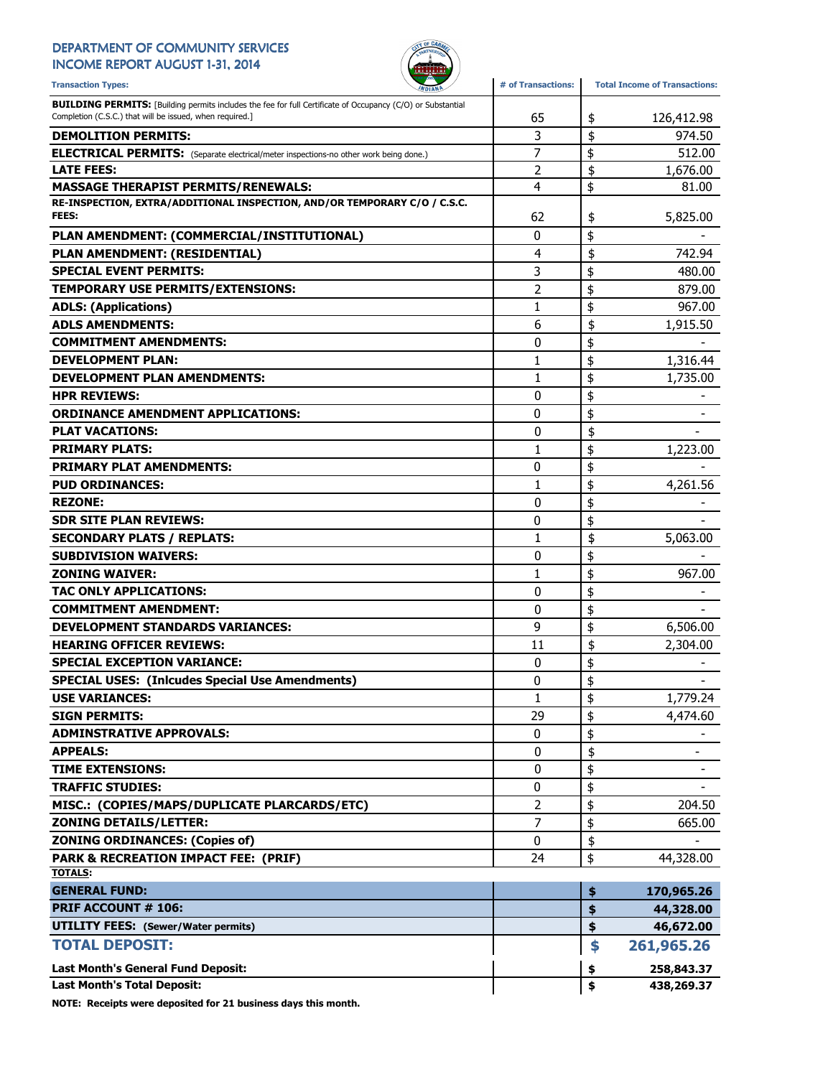#### DEPARTMENT OF COMMUNITY SERVICES INCOME REPORT AUGUST 1-31, 2014



| <b>Transaction Types:</b>                                                                                                                                                      | # of Transactions: | <b>Total Income of Transactions:</b> |
|--------------------------------------------------------------------------------------------------------------------------------------------------------------------------------|--------------------|--------------------------------------|
| <b>BUILDING PERMITS:</b> [Building permits includes the fee for full Certificate of Occupancy (C/O) or Substantial<br>Completion (C.S.C.) that will be issued, when required.] | 65                 | \$<br>126,412.98                     |
| <b>DEMOLITION PERMITS:</b>                                                                                                                                                     | 3                  | \$<br>974.50                         |
| <b>ELECTRICAL PERMITS:</b> (Separate electrical/meter inspections-no other work being done.)                                                                                   | 7                  | \$<br>512.00                         |
| <b>LATE FEES:</b>                                                                                                                                                              | $\overline{2}$     | \$<br>1,676.00                       |
| <b>MASSAGE THERAPIST PERMITS/RENEWALS:</b>                                                                                                                                     | 4                  | \$<br>81.00                          |
| RE-INSPECTION, EXTRA/ADDITIONAL INSPECTION, AND/OR TEMPORARY C/O / C.S.C.<br>FEES:                                                                                             | 62                 | \$<br>5,825.00                       |
| PLAN AMENDMENT: (COMMERCIAL/INSTITUTIONAL)                                                                                                                                     | $\mathbf{0}$       | \$                                   |
| PLAN AMENDMENT: (RESIDENTIAL)                                                                                                                                                  | 4                  | \$<br>742.94                         |
| <b>SPECIAL EVENT PERMITS:</b>                                                                                                                                                  | 3                  | \$<br>480.00                         |
| TEMPORARY USE PERMITS/EXTENSIONS:                                                                                                                                              | 2                  | \$<br>879.00                         |
| <b>ADLS: (Applications)</b>                                                                                                                                                    | 1                  | \$<br>967.00                         |
| <b>ADLS AMENDMENTS:</b>                                                                                                                                                        | 6                  | \$<br>1,915.50                       |
| <b>COMMITMENT AMENDMENTS:</b>                                                                                                                                                  | 0                  | \$                                   |
| <b>DEVELOPMENT PLAN:</b>                                                                                                                                                       | 1                  | \$<br>1,316.44                       |
| <b>DEVELOPMENT PLAN AMENDMENTS:</b>                                                                                                                                            | 1                  | \$<br>1,735.00                       |
| <b>HPR REVIEWS:</b>                                                                                                                                                            | 0                  | \$                                   |
| <b>ORDINANCE AMENDMENT APPLICATIONS:</b>                                                                                                                                       | 0                  | \$                                   |
| <b>PLAT VACATIONS:</b>                                                                                                                                                         | $\mathbf{0}$       | \$                                   |
| <b>PRIMARY PLATS:</b>                                                                                                                                                          | 1                  | \$<br>1,223.00                       |
| <b>PRIMARY PLAT AMENDMENTS:</b>                                                                                                                                                | $\bf{0}$           | \$                                   |
| <b>PUD ORDINANCES:</b>                                                                                                                                                         | 1                  | \$<br>4,261.56                       |
| <b>REZONE:</b>                                                                                                                                                                 | $\bf{0}$           | \$                                   |
| <b>SDR SITE PLAN REVIEWS:</b>                                                                                                                                                  | 0                  | \$                                   |
| <b>SECONDARY PLATS / REPLATS:</b>                                                                                                                                              | 1                  | \$<br>5,063.00                       |
| <b>SUBDIVISION WAIVERS:</b>                                                                                                                                                    | 0                  | \$                                   |
| <b>ZONING WAIVER:</b>                                                                                                                                                          | $\mathbf{1}$       | \$<br>967.00                         |
| <b>TAC ONLY APPLICATIONS:</b>                                                                                                                                                  | $\bf{0}$           | \$                                   |
| <b>COMMITMENT AMENDMENT:</b>                                                                                                                                                   | 0                  | \$                                   |
| DEVELOPMENT STANDARDS VARIANCES:                                                                                                                                               | 9                  | \$<br>6,506.00                       |
| <b>HEARING OFFICER REVIEWS:</b>                                                                                                                                                | 11                 | \$<br>2,304.00                       |
| <b>SPECIAL EXCEPTION VARIANCE:</b>                                                                                                                                             | 0                  | \$                                   |
| <b>SPECIAL USES: (Inicudes Special Use Amendments)</b>                                                                                                                         | $\Omega$           | \$                                   |
| <b>USE VARIANCES:</b>                                                                                                                                                          | 1                  | \$<br>1,779.24                       |
| <b>SIGN PERMITS:</b>                                                                                                                                                           | 29                 | \$<br>4,474.60                       |
| <b>ADMINSTRATIVE APPROVALS:</b>                                                                                                                                                | 0                  | \$                                   |
| <b>APPEALS:</b>                                                                                                                                                                | 0                  | \$                                   |
| <b>TIME EXTENSIONS:</b>                                                                                                                                                        | $\bf{0}$           | \$                                   |
| <b>TRAFFIC STUDIES:</b>                                                                                                                                                        | $\pmb{0}$          | \$                                   |
| MISC.: (COPIES/MAPS/DUPLICATE PLARCARDS/ETC)                                                                                                                                   | 2                  | \$<br>204.50                         |
| <b>ZONING DETAILS/LETTER:</b>                                                                                                                                                  | 7                  | \$<br>665.00                         |
| <b>ZONING ORDINANCES: (Copies of)</b>                                                                                                                                          | $\bf{0}$           | \$                                   |
| PARK & RECREATION IMPACT FEE: (PRIF)                                                                                                                                           | 24                 | \$<br>44,328.00                      |
| <b>TOTALS:</b>                                                                                                                                                                 |                    |                                      |
| <b>GENERAL FUND:</b>                                                                                                                                                           |                    | \$<br>170,965.26                     |
| <b>PRIF ACCOUNT # 106:</b>                                                                                                                                                     |                    | \$<br>44,328.00                      |
| <b>UTILITY FEES: (Sewer/Water permits)</b>                                                                                                                                     |                    | \$<br>46,672.00                      |
| <b>TOTAL DEPOSIT:</b>                                                                                                                                                          |                    | \$<br>261,965.26                     |
| Last Month's General Fund Deposit:                                                                                                                                             |                    | \$<br>258,843.37                     |
| <b>Last Month's Total Deposit:</b>                                                                                                                                             |                    | \$<br>438,269.37                     |

NOTE: Receipts were deposited for 21 business days this month.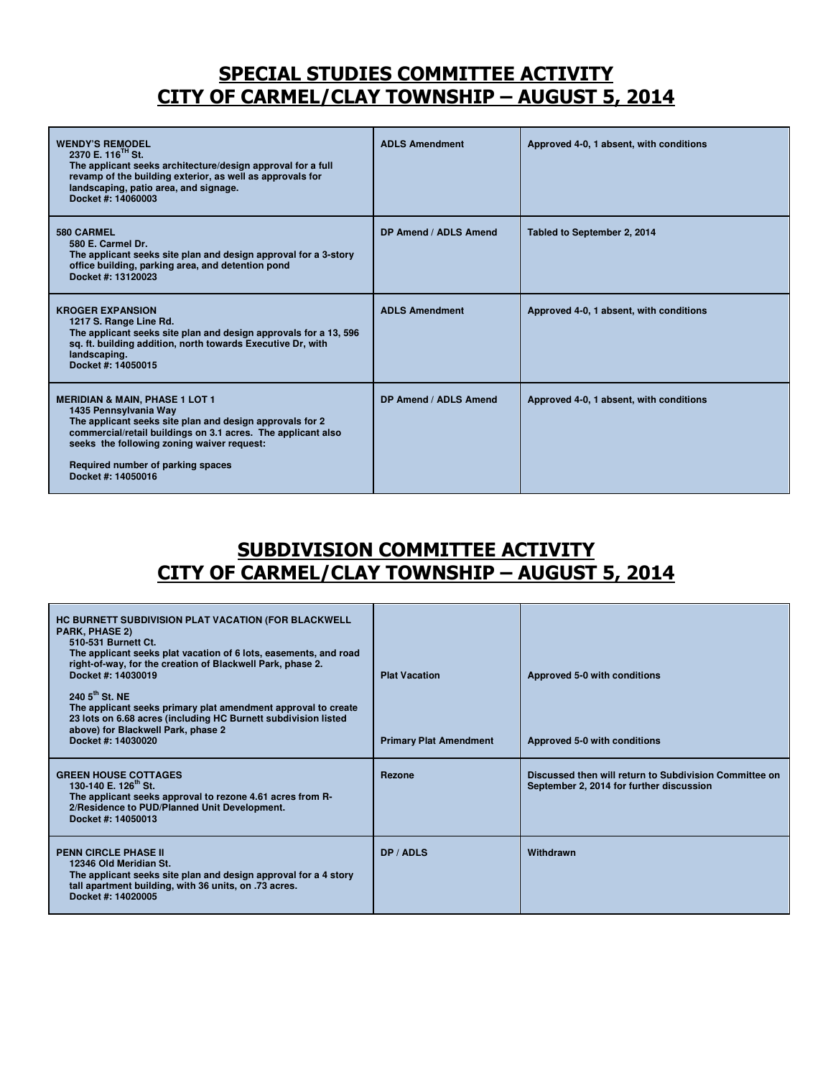### SPECIAL STUDIES COMMITTEE ACTIVITY CITY OF CARMEL/CLAY TOWNSHIP – AUGUST 5, 2014

| <b>WENDY'S REMODEL</b><br>2370 E. 116 <sup>™</sup> St.<br>The applicant seeks architecture/design approval for a full<br>revamp of the building exterior, as well as approvals for<br>landscaping, patio area, and signage.<br>Docket #: 14060003                                                       | <b>ADLS Amendment</b> | Approved 4-0, 1 absent, with conditions |
|---------------------------------------------------------------------------------------------------------------------------------------------------------------------------------------------------------------------------------------------------------------------------------------------------------|-----------------------|-----------------------------------------|
| 580 CARMEL<br>580 E. Carmel Dr.<br>The applicant seeks site plan and design approval for a 3-story<br>office building, parking area, and detention pond<br>Docket #: 13120023                                                                                                                           | DP Amend / ADLS Amend | Tabled to September 2, 2014             |
| <b>KROGER EXPANSION</b><br>1217 S. Range Line Rd.<br>The applicant seeks site plan and design approvals for a 13, 596<br>sq. ft. building addition, north towards Executive Dr, with<br>landscaping.<br>Docket #: 14050015                                                                              | <b>ADLS Amendment</b> | Approved 4-0, 1 absent, with conditions |
| <b>MERIDIAN &amp; MAIN, PHASE 1 LOT 1</b><br>1435 Pennsylvania Way<br>The applicant seeks site plan and design approvals for 2<br>commercial/retail buildings on 3.1 acres. The applicant also<br>seeks the following zoning waiver request:<br>Required number of parking spaces<br>Docket #: 14050016 | DP Amend / ADLS Amend | Approved 4-0, 1 absent, with conditions |

## SUBDIVISION COMMITTEE ACTIVITY CITY OF CARMEL/CLAY TOWNSHIP – AUGUST 5, 2014

| HC BURNETT SUBDIVISION PLAT VACATION (FOR BLACKWELL<br><b>PARK, PHASE 2)</b><br>510-531 Burnett Ct.<br>The applicant seeks plat vacation of 6 lots, easements, and road<br>right-of-way, for the creation of Blackwell Park, phase 2.<br>Docket #: 14030019<br>240 $5^{th}$ St. NE<br>The applicant seeks primary plat amendment approval to create<br>23 lots on 6.68 acres (including HC Burnett subdivision listed<br>above) for Blackwell Park, phase 2<br>Docket #: 14030020 | <b>Plat Vacation</b><br><b>Primary Plat Amendment</b> | Approved 5-0 with conditions<br>Approved 5-0 with conditions                                       |
|-----------------------------------------------------------------------------------------------------------------------------------------------------------------------------------------------------------------------------------------------------------------------------------------------------------------------------------------------------------------------------------------------------------------------------------------------------------------------------------|-------------------------------------------------------|----------------------------------------------------------------------------------------------------|
| <b>GREEN HOUSE COTTAGES</b><br>130-140 E. 126 <sup>th</sup> St.<br>The applicant seeks approval to rezone 4.61 acres from R-<br>2/Residence to PUD/Planned Unit Development.<br>Docket #: 14050013                                                                                                                                                                                                                                                                                | Rezone                                                | Discussed then will return to Subdivision Committee on<br>September 2, 2014 for further discussion |
| <b>PENN CIRCLE PHASE II</b><br>12346 Old Meridian St.<br>The applicant seeks site plan and design approval for a 4 story<br>tall apartment building, with 36 units, on .73 acres.<br>Docket #: 14020005                                                                                                                                                                                                                                                                           | DP / ADLS                                             | Withdrawn                                                                                          |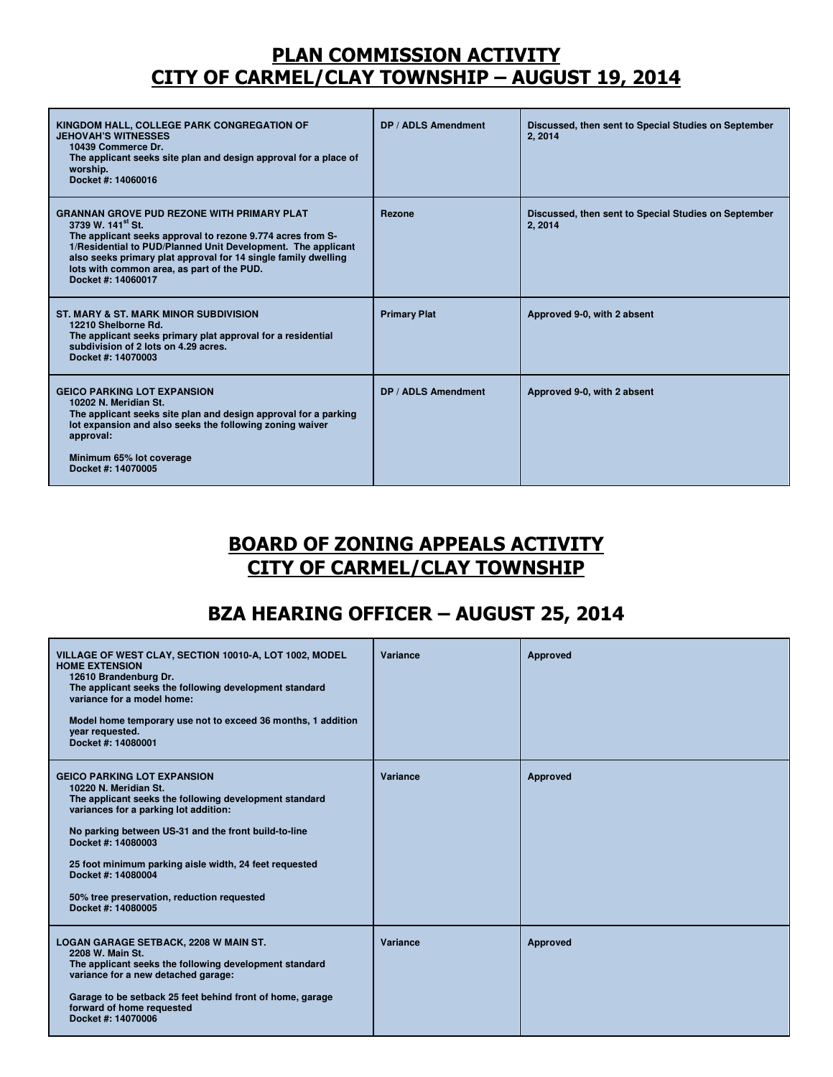## PLAN COMMISSION ACTIVITY CITY OF CARMEL/CLAY TOWNSHIP – AUGUST 19, 2014

| KINGDOM HALL, COLLEGE PARK CONGREGATION OF<br><b>JEHOVAH'S WITNESSES</b><br>10439 Commerce Dr.<br>The applicant seeks site plan and design approval for a place of<br>worship.<br>Docket #: 14060016                                                                                                                                                   | DP / ADLS Amendment        | Discussed, then sent to Special Studies on September<br>2, 2014 |
|--------------------------------------------------------------------------------------------------------------------------------------------------------------------------------------------------------------------------------------------------------------------------------------------------------------------------------------------------------|----------------------------|-----------------------------------------------------------------|
| <b>GRANNAN GROVE PUD REZONE WITH PRIMARY PLAT</b><br>3739 W. 141 <sup>st</sup> St.<br>The applicant seeks approval to rezone 9.774 acres from S-<br>1/Residential to PUD/Planned Unit Development. The applicant<br>also seeks primary plat approval for 14 single family dwelling<br>lots with common area, as part of the PUD.<br>Docket #: 14060017 | Rezone                     | Discussed, then sent to Special Studies on September<br>2, 2014 |
| <b>ST. MARY &amp; ST. MARK MINOR SUBDIVISION</b><br>12210 Shelborne Rd.<br>The applicant seeks primary plat approval for a residential<br>subdivision of 2 lots on 4.29 acres.<br>Docket #: 14070003                                                                                                                                                   | <b>Primary Plat</b>        | Approved 9-0, with 2 absent                                     |
| <b>GEICO PARKING LOT EXPANSION</b><br>10202 N. Meridian St.<br>The applicant seeks site plan and design approval for a parking<br>lot expansion and also seeks the following zoning waiver<br>approval:<br>Minimum 65% lot coverage<br>Docket #: 14070005                                                                                              | <b>DP / ADLS Amendment</b> | Approved 9-0, with 2 absent                                     |

#### BOARD OF ZONING APPEALS ACTIVITY CITY OF CARMEL/CLAY TOWNSHIP

#### BZA HEARING OFFICER – AUGUST 25, 2014

| VILLAGE OF WEST CLAY, SECTION 10010-A, LOT 1002, MODEL<br><b>HOME EXTENSION</b><br>12610 Brandenburg Dr.<br>The applicant seeks the following development standard<br>variance for a model home:<br>Model home temporary use not to exceed 36 months, 1 addition<br>year requested.<br>Docket #: 14080001                                                                                        | Variance | Approved |
|--------------------------------------------------------------------------------------------------------------------------------------------------------------------------------------------------------------------------------------------------------------------------------------------------------------------------------------------------------------------------------------------------|----------|----------|
| <b>GEICO PARKING LOT EXPANSION</b><br>10220 N. Meridian St.<br>The applicant seeks the following development standard<br>variances for a parking lot addition:<br>No parking between US-31 and the front build-to-line<br>Docket #: 14080003<br>25 foot minimum parking aisle width, 24 feet requested<br>Docket #: 14080004<br>50% tree preservation, reduction requested<br>Docket #: 14080005 | Variance | Approved |
| LOGAN GARAGE SETBACK, 2208 W MAIN ST.<br>2208 W. Main St.<br>The applicant seeks the following development standard<br>variance for a new detached garage:<br>Garage to be setback 25 feet behind front of home, garage<br>forward of home requested<br>Docket #: 14070006                                                                                                                       | Variance | Approved |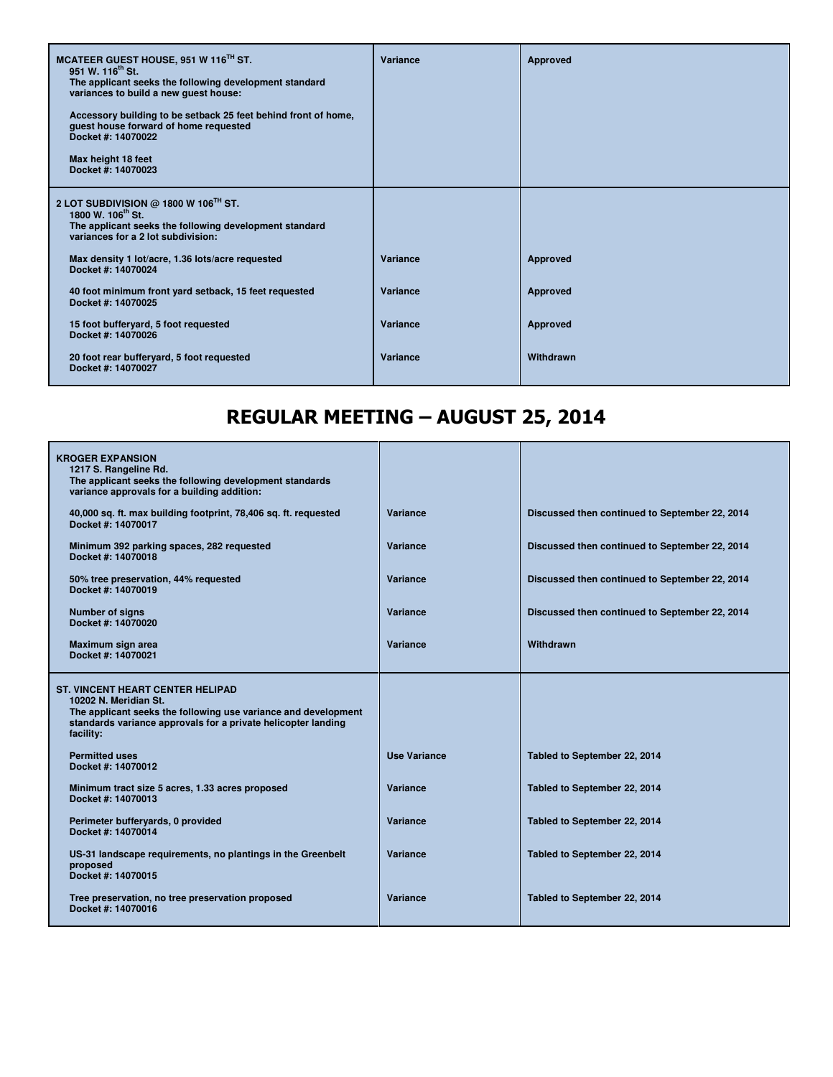| MCATEER GUEST HOUSE, 951 W 116 <sup>TH</sup> ST.<br>951 W. 116 <sup>th</sup> St.<br>The applicant seeks the following development standard<br>variances to build a new guest house:<br>Accessory building to be setback 25 feet behind front of home,<br>guest house forward of home requested<br>Docket #: 14070022<br>Max height 18 feet<br>Docket #: 14070023                                          | Variance                         | Approved                         |
|-----------------------------------------------------------------------------------------------------------------------------------------------------------------------------------------------------------------------------------------------------------------------------------------------------------------------------------------------------------------------------------------------------------|----------------------------------|----------------------------------|
| 2 LOT SUBDIVISION @ 1800 W 106 $^{\text{th}}$ ST.<br>1800 W. 106 <sup>th</sup> St.<br>The applicant seeks the following development standard<br>variances for a 2 lot subdivision:<br>Max density 1 lot/acre, 1.36 lots/acre requested<br>Docket #: 14070024<br>40 foot minimum front yard setback, 15 feet requested<br>Docket #: 14070025<br>15 foot bufferyard, 5 foot requested<br>Docket #: 14070026 | Variance<br>Variance<br>Variance | Approved<br>Approved<br>Approved |
| 20 foot rear bufferyard, 5 foot requested<br>Docket #: 14070027                                                                                                                                                                                                                                                                                                                                           | Variance                         | Withdrawn                        |

## REGULAR MEETING – AUGUST 25, 2014

| <b>KROGER EXPANSION</b><br>1217 S. Rangeline Rd.<br>The applicant seeks the following development standards<br>variance approvals for a building addition:                                                       |                     |                                                |
|------------------------------------------------------------------------------------------------------------------------------------------------------------------------------------------------------------------|---------------------|------------------------------------------------|
| 40,000 sq. ft. max building footprint, 78,406 sq. ft. requested<br>Docket #: 14070017                                                                                                                            | Variance            | Discussed then continued to September 22, 2014 |
| Minimum 392 parking spaces, 282 requested<br>Docket #: 14070018                                                                                                                                                  | Variance            | Discussed then continued to September 22, 2014 |
| 50% tree preservation, 44% requested<br>Docket #: 14070019                                                                                                                                                       | Variance            | Discussed then continued to September 22, 2014 |
| <b>Number of signs</b><br>Docket #: 14070020                                                                                                                                                                     | Variance            | Discussed then continued to September 22, 2014 |
| Maximum sign area<br>Docket #: 14070021                                                                                                                                                                          | Variance            | Withdrawn                                      |
| <b>ST. VINCENT HEART CENTER HELIPAD</b><br>10202 N. Meridian St.<br>The applicant seeks the following use variance and development<br>standards variance approvals for a private helicopter landing<br>facility: |                     |                                                |
| <b>Permitted uses</b><br>Docket #: 14070012                                                                                                                                                                      | <b>Use Variance</b> | Tabled to September 22, 2014                   |
| Minimum tract size 5 acres, 1.33 acres proposed<br>Docket #: 14070013                                                                                                                                            | Variance            | Tabled to September 22, 2014                   |
| Perimeter bufferyards, 0 provided<br>Docket #: 14070014                                                                                                                                                          | Variance            | Tabled to September 22, 2014                   |
| US-31 landscape requirements, no plantings in the Greenbelt<br>proposed<br>Docket #: 14070015                                                                                                                    | Variance            | Tabled to September 22, 2014                   |
| Tree preservation, no tree preservation proposed<br>Docket #: 14070016                                                                                                                                           | Variance            | Tabled to September 22, 2014                   |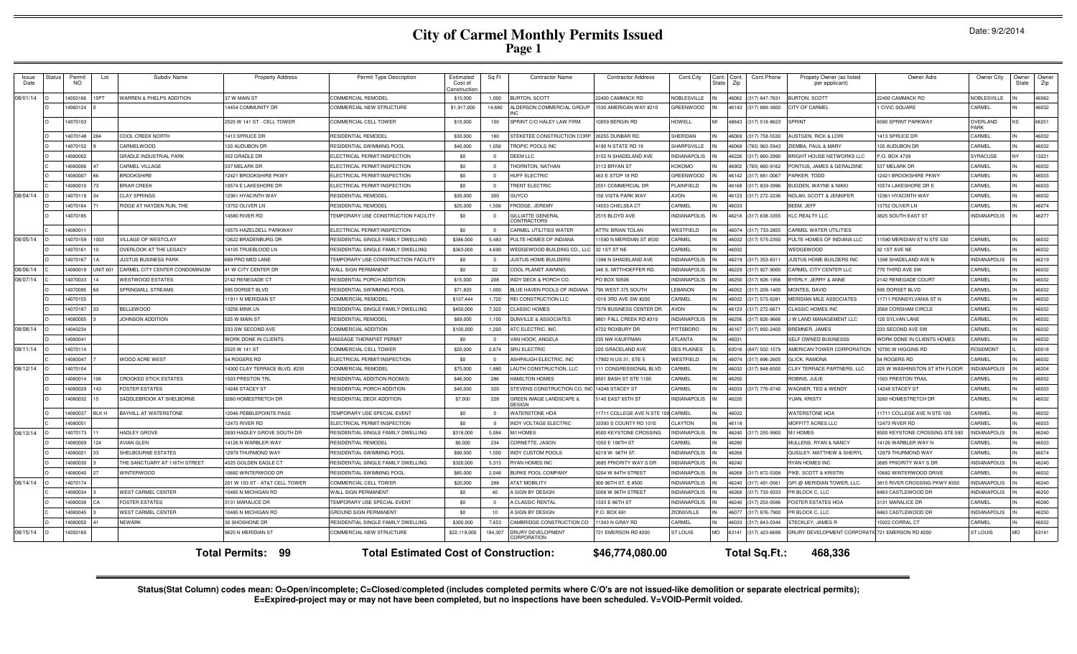# **City of Carmel Monthly Permits Issued Page 1**

| Issue<br>Date | Status          | Permit<br>Lot<br>NO.       | Subdiv Name                         | <b>Property Address</b>        | Permit Type Description                    | Estimated<br>Cost of<br>onstructio | Sq Ft          | <b>Contractor Name</b>                   | <b>Contractor Address</b>          | Cont.City           | Stat      | Cont.<br>Zip | Cont.Phone           | Propety Owner (as listed<br>per applicant)       | Owner Adrs                     | Owner City          | Owner<br>State | Owner<br>Zip |
|---------------|-----------------|----------------------------|-------------------------------------|--------------------------------|--------------------------------------------|------------------------------------|----------------|------------------------------------------|------------------------------------|---------------------|-----------|--------------|----------------------|--------------------------------------------------|--------------------------------|---------------------|----------------|--------------|
| 08/01/14      |                 | 4050166<br><b>ISPT</b>     | <b>WARREN &amp; PHELPS ADDITION</b> | 7 W MAIN ST                    | COMMERCIAL REMODEL                         | \$15,000                           | 1.000          | <b>BURTON, SCOTT</b>                     | 22400 CAMMACK RD                   | NOBLESVILLE         |           | 16062        | 317) 847-7631        | <b>BURTON, SCOTT</b>                             | 22400 CAMMACK RD               | NOBLESVILLE         |                | 46062        |
|               |                 | 4060124                    |                                     | 4454 COMMUNITY DF              | COMMERCIAL NEW STRUCTURE                   | \$1,917,000                        | 14,680         | ALDERSON COMMERCIAL GROUP                | 1530 AMERICAN WAY #210             | <b>GREENWOOD</b>    |           | 46143        | (317) 889-3800       | CITY OF CARMEL                                   | <b>CIVIC SQUARE</b>            | CARMEL              |                | 46032        |
|               |                 | 4070103                    |                                     | 2525 W 141 ST - CELL TOWER     | COMMERCIAL CELL TOWER                      | \$10,000                           | 100            | SPRINT C/O HALEY LAW FIRM                | 10059 BERGIN RD                    | HOWELL              |           | 48843        | (317) 518-8623       | SPRINT                                           | 6580 SPRINT PARKWAY            | OVERLAND<br>PARK    |                | 66251        |
|               |                 | 4070148<br>28A             | COOL CREEK NORTH                    | 413 SPRUCE DR                  | RESIDENTIAL REMODEL                        | \$30,000                           | 180            | STEKETEE CONSTRUCTION COR                | 26255 DUNBAR RD.                   | SHERIDAN            |           | 46069        | (317) 758-5530       | <b>AUSTGEN, RICK &amp; LORI</b>                  | 1413 SPRUCE DR                 | CARMEL              |                | 46032        |
|               |                 | 4070152                    | CARMELWOOD                          | 20 AUDUBON DF                  | RESIDENTIAL SWIMMING POOL                  | \$40,000                           | 1,056          | <b>ROPIC POOLS INC</b>                   | 4190 N STATE RD 19                 | <b>SHARPSVILLE</b>  |           | 6068         | 765) 963-5943        | <b>IEMBA, PAUL &amp; MARY</b>                    | 120 AUDUBON DF                 | CARMEL              |                | 46032        |
|               |                 | 4080002                    | <b>GRADLE INDUSTRIAL PARK</b>       | 352 GRADLE DR                  | ELECTRICAL PERMIT/INSPECTION               | \$0                                | $\Omega$       | <b>DEEM LLC</b>                          | 3152 N SHADELAND AVE               | <b>INDIANAPOLIS</b> |           | 46226        | (317) 860-2990       | BRIGHT HOUSE NETWORKS LLC                        | P.O. BOX 4739                  | SYRACUSE            |                | 13221        |
|               |                 | 4080006                    | CARMEL VILLAGE                      | 537 MELARK DR                  | ELECTRICAL PERMIT/INSPECTION               | \$0                                | $\Omega$       | <b>HORNTON, NATHAN</b>                   | 3112 BRYAN ST                      | KOKOMO              |           | 6902         | 765) 860-9162        | PONTIUS, JAMES & GERALDINE                       | 37 MELARK DR                   | CARMEL              |                | 46032        |
|               |                 | 4080007                    | <b>BROOKSHIRE</b>                   | 2421 BROOKSHIRE PKWY           | ELECTRICAL PERMIT/INSPECTION               | \$0                                |                | HUFF ELECTRIC                            | 463 E STOP 18 RD                   | GREENWOOD           |           | 46142        | 317) 881-0067        | PARKER, TODD                                     | 2421 BROOKSHIRE PKWY           | CARMEL              |                | 46033        |
|               |                 | 4080010                    | <b>BRIAR CREEK</b>                  | 0574 E LAKESHORE DR            | ELECTRICAL PERMIT/INSPECTION               | \$0                                | $\Omega$       | <b>RENT ELECTRIC</b>                     | 2551 COMMERCIAL DR                 | PI AINFIFI D        |           | 46168        | (317) 839-3996       | <b>BUGDEN, WAYNE &amp; NIKKI</b>                 | 10574 LAKESHORE DR B           | CARMEL              |                | 46033        |
| 08/04/14      |                 | 4070119                    | <b>CLAY SPRINGS</b>                 | 2361 HYACINTH WAY              | RESIDENTIAL REMODEL                        | \$30,000                           | 300            | GUYCO                                    | 150 VISTA PARK WAY                 | AVON                | IN        | 46123        | (317) 272-2236       | NOLAN, SCOTT & JENNIFER                          | 12361 HYACINTH WAY             | CARMEL              |                | 46032        |
|               |                 | 4070164                    | RIDGE AT HAYDEN RUN. THE            | 3752 OLIVER LN                 | RESIDENTIAI REMODEI                        | \$25,000                           | 1,506          | FRODGE, JEREMY                           | 14553 CHELSEA CT                   | CARMEL              | IN        | <b>6033</b>  |                      | BEEM, JEFF                                       | 13752 OLIVER LN                | CARMEL              |                | 46074        |
|               |                 | 4070185                    |                                     | 4580 RIVER RD                  | <b>FEMPORARY USE CONSTRUCTION FACILITY</b> | \$0                                | $\Omega$       | <b>ILLIATTE GENERAL</b><br>ONTRACTORS    | 2515 BLOYD AVE                     | <b>INDIANAPOLIS</b> | IN        |              | 46218 (317) 638-3355 | KLC REALTY LLC                                   | <b>3825 SOUTH EAST ST</b>      | <b>INDIANAPOLIS</b> | IN             | 46277        |
|               |                 | 408001                     |                                     | 0575 HAZELDELL PARKWAY         | ELECTRICAL PERMIT/INSPECTION               | \$0                                | $\Omega$       | CARMEL UTILITIES WATER                   | ATTN: BRIAN TOLAN                  | WESTFIELD           |           | 46074        | (317) 733-2855       | CARMEL WATER UTILITIES                           |                                |                     |                |              |
| 08/05/14      |                 | 4070159<br>1003            | <b>ILLAGE OF WESTCLAY</b>           | 2622 BRADENBURG DR             | RESIDENTIAL SINGLE FAMILY DWELLING         | \$386,000                          | 5,483          | PULTE HOMES OF INDIANA                   | 11590 N MERIDIAN ST #530           | CARMEL              |           | 46032        | (317) 575-2350       | PULTE HOMES OF INDIANA LLC                       | 1590 MERIDIAN ST N STE 530     | CARMEI              |                | 46032        |
|               |                 | 4070161                    | OVERLOOK AT THE LEGACY              | 4105 TRUEBLOOD LN              | RESIDENTIAL SINGLE FAMILY DWELLING         | \$363,000                          | 4.690          | WEDGEWOOD BUILDING CO., LI               | 32 1ST ST NE                       | CARMEL              |           | 46032        |                      | <b>NEDGEWOOD</b>                                 | 32 1ST AVE NE                  | CARMEL              |                | 46032        |
|               |                 | 4070167                    | <b>JUSTUS BUSINESS PARK</b>         | 389 PRO MED LANE               | TEMPORARY USE CONSTRUCTION FACILIT         | \$0                                | $\Omega$       | <b>JUSTUS HOME BUILDERS</b>              | 1398 N SHADELAND AVE               | <b>INDIANAPOLIS</b> |           | 46219        | (317) 353-8311       | <b>JUSTUS HOME BUILDERS INC</b>                  | 398 SHADELAND AVE I            | <b>INDIANAPOLIS</b> |                | 46219        |
| 08/06/14      |                 | <b>UNIT 601</b><br>4080019 | CARMEL CITY CENTER CONDOMINIUM      | 1 W CITY CENTER DR             | <b>WALL SIGN PERMANENT</b>                 | \$0                                | 22             | COOL PLANET AWNING                       | 340 S. MITTHOEFFER RD              | NDIANAPOLIS         |           | 16229        | (317) 927-9000       | CARMEL CITY CENTER LLC                           | 70 THIRD AVE SW                | CARMEL              |                | 46032        |
| 08/07/14      |                 | 4070033                    | <b>WESTWOOD ESTATES</b>             | 142 RENEGADE CT                | RESIDENTIAL PORCH ADDITION                 | \$15,000                           | 208            | <b>NDY DECK &amp; PORCH CO</b>           | PO BOX 5050                        | INDIANAPOLIS        |           | 46250        | (317) 826-1956       | BYERLY, JERRY & ANNE                             | 2142 RENEGADE COURT            | CARMEL              |                | 46032        |
|               |                 | 4070095                    | SPRINGMILL STREAMS                  | 95 DORSET BLVD                 | RESIDENTIAL SWIMMING POO                   | \$71,820                           | 1,000          | BLUE HAVEN POOLS OF INDIANA              | 795 WEST 375 SOUTH                 | <b>FBANON</b>       |           | 6052         | (317) 209-1400       | <b>JONTES, DAVID</b>                             | 595 DORSET BLVD                | CARMEL              |                | 46032        |
|               |                 | 4070155                    |                                     | 1911 N MERIDIAN ST             | COMMERCIAL REMODEL                         | \$137,444                          | 1,720          | REI CONSTRUCTION LLC                     | 1016 3RD AVE SW #200               | CARMEL              |           | 46032        | 317) 573-6281        | <b>JERIDIAN MILE ASSOCIATES</b>                  | 1711 PENNSYLVANIA ST N         | CARMEL              |                | 46032        |
|               |                 | 4070187                    | <b>BELLEWOOD</b>                    | 3256 MINK LN                   | RESIDENTIAL SINGLE FAMILY DWELLING         | \$450,000                          | 7.322          | CLASSIC HOMES                            | 7378 BUSINESS CENTER DR            | <b>VON</b>          |           | 46123        | (317) 272-6671       | LASSIC HOMES INC                                 | 3568 CORSHAM CIRCLE            | CARMEL              |                | 46032        |
|               |                 | 4080005                    | JOHNSON ADDITION                    | 525 W MAIN ST                  | RESIDENTIAL REMODEL                        | \$89,000                           | 1,100          | DUNVILLE & ASSOCIATES                    | 9801 FALL CREEK RD #319            | <b>VDIANAPOLIS</b>  |           | 46256        | (317) 826-9666       | I W LAND MANAGEMENT LLC                          | 120 SYLVAN LANE                | CARMEL              |                | 46032        |
| 08/08/14      |                 | 4040234                    |                                     | 233 SW SECOND AVE              | COMMERCIAL ADDITION                        | \$100,000                          | 1,200          | ATC ELECTRIC, INC.                       | 4722 ROXBURY DR                    | <b>PITTSBORO</b>    |           | 46167        | (317) 892-2400       | BREMNER, JAMES                                   | 233 SECOND AVE SW              | CARMEL              |                | 46032        |
|               |                 | 4080041                    |                                     | WORK DONE IN CLIENTS           | MASSAGE THERAPIST PERMIT                   | \$0                                | $\Omega$       | <b>/AN HOOK, ANGELA</b>                  | 235 NW KAUFFMAN                    | ATLANTA             |           |              |                      | <b>SELF OWNED BUSINESSS</b>                      | WORK DONE IN CLIENTS HOMES     | CARMEL              |                | 46032        |
| 08/11/14      |                 | 4070114                    |                                     | 2525 W 141 ST                  | COMMERCIAL CELL TOWEF                      | \$20,000                           | 2,674          | <b>SRU ELECTRIC</b>                      | 220 GRACELAND AVE                  | <b>DES PLAINES</b>  |           | 31008        | (847) 502-1579       | MERICAN TOWER CORPORATIO                         | 0700 W HIGGINS RD              | <b>ROSEMONT</b>     |                | 60018        |
|               |                 | 4080047                    | <b><i>NOOD ACRE WEST</i></b>        | 4 ROGERS RD                    | ELECTRICAL PERMIT/INSPECTION               | \$0                                | $\Omega$       | ASHPAUGH ELECTRIC, INC                   | 17902 N US 31, STE 5               | WESTFIELD           |           | 46074        | (317) 896-2605       | <b>GLICK, RAMONA</b>                             | 4 ROGERS RD                    | CARMEL              |                | 46032        |
| 08/12/14      |                 | 4070154                    |                                     | 4300 CLAY TERRACE BLVD. #235   | COMMERCIAL REMODEL                         | \$75,000                           | 1.880          | AUTH CONSTRUCTION, LLC                   | 11 CONGRESSIONAL BLVD              | CARMEL              |           | 46032        | 317) 848-6500        | CLAY TERRACE PARTNERS, LLC                       | 225 W WASHINGTON ST 8TH FLOOR  | <b>INDIANAPOLIS</b> |                | 46204        |
|               |                 | 4080014<br>106             | <b>CROOKED STICK ESTATES</b>        | 503 PRESTON TR                 | RESIDENTIAL ADDITION-ROOM(S)               | \$46,000                           | 286            | <b>JAMILTON HOMES</b>                    | 8501 BASH ST STE 1100              | CARMEL              |           | 16250        |                      | Robins. Jul If                                   | 503 PRESTON TRAI               | CARMEL              |                | 46032        |
|               |                 | 4080029<br>143             | <b>FOSTER ESTATES</b>               | 4248 STACEY ST                 | RESIDENTIAL PORCH ADDITION                 | \$40,000                           | 320            | <b>TEVENS CONSTRUCTION CO. II</b>        | 14248 STACEY ST                    | CARMEL              |           | 16033        | (317) 776-8740       | WAGNER, TED & WENDY                              | 4248 STACEY ST                 | CARMEL              |                | 46033        |
|               |                 | 4080032                    | SADDLEBROOK AT SHELBORNE            | 3260 HOMESTRETCH DR            | RESIDENTIAL DECK ADDITION                  | \$7,000                            | 228            | GREEN IMAGE LANDSCAPE &<br><b>JESIGN</b> | 5140 EAST 65TH ST                  | <b>INDIANAPOLIS</b> |           | 46220        |                      | <b>/UAN, KRISTY</b>                              | 3260 HOMESTRETCH DR            | CARMEL              |                | 46032        |
|               |                 | <b>BLK H</b><br>4080037    | <b>BAYHILL AT WATERSTONE</b>        | 2046 PEBBLEPOINTE PASS         | <b><i>TEMPORARY USE SPECIAL EVENT</i></b>  | \$0                                | $\overline{0}$ | <b>WATERSTONE HOA</b>                    | 11711 COLLEGE AVE N STE 100 CARMEL |                     |           | 46032        |                      | <b>WATERSTONE HOA</b>                            | 11711 COLLEGE AVE N STE 100    | CARMEL              |                | 46032        |
|               |                 | 408005                     |                                     | 2473 RIVER RD                  | ELECTRICAL PERMIT/INSPECTION               | \$0                                | $\Omega$       | <b>NDY VOLTAGE ELECTRIC</b>              | 33393 S COUNTY RD 101E             | CLAYTON             |           | 46118        |                      | <b>MOFFITT ACRES LLC</b>                         | 12473 RIVER RD                 | CARMEL              |                | 46033        |
| 08/13/14      |                 | 4070173                    | <b>HADLEY GROVE</b>                 | 2693 HADLEY GROVE SOUTH DF     | RESIDENTIAL SINGLE FAMILY DWELLING         | \$318,000                          | 5,084          | M/I HOMES                                | 8500 KEYSTONE CROSSING             | <b>INDIANAPOLIS</b> |           | 46240        | (317) 255-9900       | <b>M/I HOMES</b>                                 | 8500 KEYSTONE CROSSING STE 590 | <b>INDIANAPOLIS</b> |                | 46240        |
|               |                 | 4080009<br>124             | <b>AVIAN GLEN</b>                   | 4126 N WARBLER WAY             | RESIDENTIAL REMODEI                        | \$6,000                            | 234            | <b>CORNETTE, JASON</b>                   | 1050 E 106TH ST                    | <b>ARMEI</b>        |           | 46280        |                      | <b>JULLENS, RYAN &amp; NANCY</b>                 | 14126 WARBLER WAY I            | CARMEL              |                | 46033        |
|               |                 | 4080021                    | SHELBOURNE ESTATES                  | 2979 THURMOND WAY              | RESIDENTIAL SWIMMING POOI                  | \$90,000                           | 1,500          | <b>NDY CUSTOM POOLS</b>                  | 4219 W. 96TH ST.                   | <b>INDIANAPOLIS</b> |           | 46268        |                      | QUIGLEY, MATTHEW & SHERYL                        | 12979 THURMOND WAY             | CARMEL              |                | 46074        |
|               |                 | 4080030                    | THE SANCTUARY AT 116TH STREET       | <b>1525 GOLDEN EAGLE CT</b>    | RESIDENTIAL SINGLE FAMILY DWELLING         | \$320,000                          | 5,315          | RYAN HOMES INC                           | 3685 PRIORITY WAY S DF             | <b>INDIANAPOLIS</b> |           | 46240        |                      | <b>RYAN HOMES INC</b>                            | 3685 PRIORITY WAY S DR         | <b>INDIANAPOLIS</b> |                | 46240        |
|               |                 | 4080040                    | <b>WINTERWOOD</b>                   | 0682 WINTERWOOD DR             | RESIDENTIAL SWIMMING POO                   | \$85,000                           | 2.046          | BURKE POOL COMPANY                       | 5204 W 84TH STREET                 | <b>INDIANAPOLIS</b> |           | 46268        | (317) 872-5308       | PIKE, SCOTT & KRISTIN                            | 10682 WINTERWOOD DRIVE         | CARMEL              |                | 46032        |
| 08/14/14      |                 | 4070174                    |                                     | 201 W 103 ST - AT&T CELL TOWER | COMMERCIAL CELL TOWEF                      | \$20,000                           | 288            | <b>IT&amp;T MOBILITY</b>                 | 900 96TH ST. E #500                | NDIANAPOLIS         |           | 16240        | (317) 491-0561       | <b>GPI @ MERIDIAN TOWER, LLC.</b>                | 3815 RIVER CROSSING PKWY #350  | <b>INDIANAPOLIS</b> |                | 46240        |
|               |                 | 4080034                    | WEST CARMEL CENTER                  | 0485 N MICHIGAN RD             | WALL SIGN PERMANENT                        | \$0                                | 40             | <b><i>A SIGN BY DESIGN</i></b>           | 5008 W 96TH STREET                 | <b>INDIANAPOLIS</b> |           | 46268        | (317) 733-9333       | PR BLOCK C, LLC                                  | 8463 CASTLEWOOD DF             | <b>INDIANAPOLIS</b> |                | 46250        |
|               |                 | 4080038                    | <b>FOSTER ESTATES</b>               | 131 MARALICE DR                | <b><i>FEMPORARY USE SPECIAL EVENT</i></b>  | \$0                                |                | <b>CLASSIC RENTAL</b>                    | 1333 E 86TH ST                     | <b>INDIANAPOLIS</b> |           | 16240        | 317) 253-0586        | <b>OSTER ESTATES HOA</b>                         | 3131 MARALICE DR               | CARMEL              |                | 46280        |
|               |                 | 4080045                    | <b>WEST CARMEL CENTER</b>           | 0485 N MICHIGAN RD             | <b>GROUND SIGN PERMANEN</b>                | \$0                                | 10             | SIGN BY DESIGN                           | P.O. BOX 69                        | ZIONSVILLE          |           | 16077        | (317) 876-7900       | PR BLOCK C, LLC                                  | 3463 CASTLEWOOD DI             | <b>INDIANAPOLIS</b> |                | 46250        |
|               |                 | 4080050                    | <b>NEWARK</b>                       | 30 SHOSHONE DR                 | RESIDENTIAL SINGLE FAMILY DWELLING         | \$300,000                          | 7.653          | AMBRIDGE CONSTRUCTION CO                 | 11343 N GRAY RD                    | CARMEL              |           | 16033        | (317) 843-0344       | STECKLEY, JAMES F                                | 15022 CORRAL CT                | CARMEL              |                | 46032        |
| 08/15/14      |                 | 4050160                    |                                     | 9625 N MERIDIAN ST             | COMMERCIAL NEW STRUCTURE                   | \$22,119,000                       | 184,307        | DRURY DEVELOPMENT<br>ORPORATION          | 721 EMERSON RD #200                | ST LOUIS            | <b>MO</b> | 63141        | (317) 423-6698       | DRURY DEVELOPMENT CORPORATIC 721 EMERSON RD #200 |                                | <b>ST LOUIS</b>     | <b>MO</b>      | 63141        |
|               | \$46,774,080.00 |                            |                                     |                                | Total Sq.Ft.:                              | 468,336                            |                |                                          |                                    |                     |           |              |                      |                                                  |                                |                     |                |              |

Status(Stat Column) codes mean: O=Open/incomplete; C=Closed/completed (includes completed permits where C/O's are not issued-like demolition or separate electrical permits);<br>E=Expired-project may or may not have been compl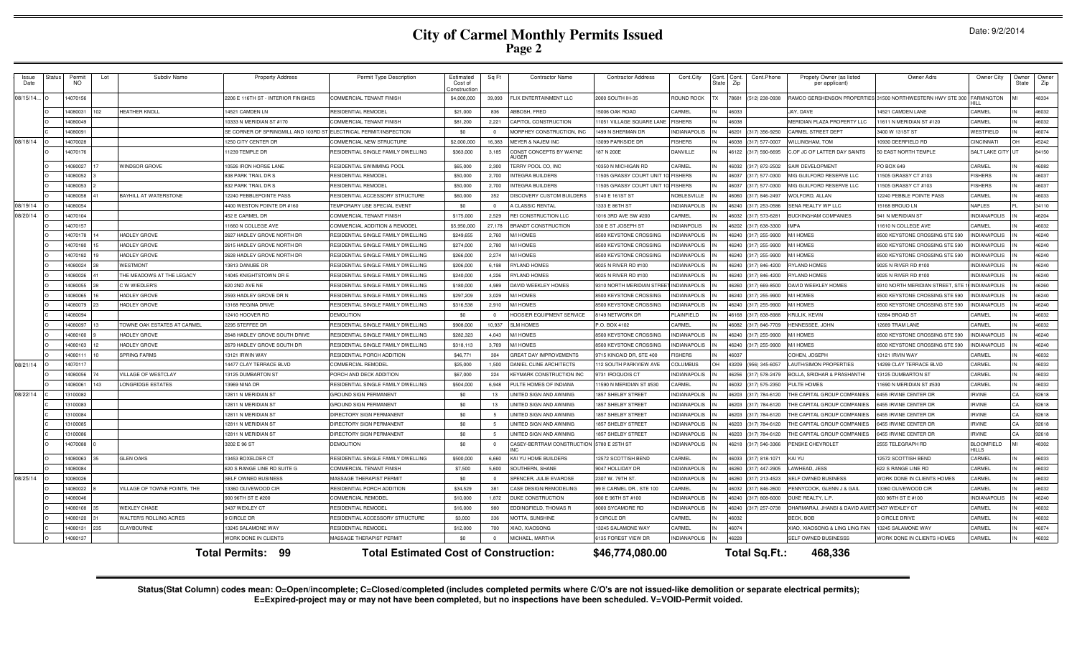# **City of Carmel Monthly Permits Issued Page 2**

| Issue<br>Date                                                                                   |  | Permi<br>NO. | Lot | Subdiv Name                         | Property Address                           | Permit Type Description            | Estimated<br>Cost of<br>onstructio | Sq Ft                   | <b>Contractor Name</b>            | <b>Contractor Address</b>          | Cont.City           | State | Cont.<br>Cont.Phone<br>Zip | Propety Owner (as listed<br>per applicant) | Owner Adrs                                                 | Owner City                   | Owner<br>State | Owner<br>Zip |
|-------------------------------------------------------------------------------------------------|--|--------------|-----|-------------------------------------|--------------------------------------------|------------------------------------|------------------------------------|-------------------------|-----------------------------------|------------------------------------|---------------------|-------|----------------------------|--------------------------------------------|------------------------------------------------------------|------------------------------|----------------|--------------|
| 08/15/14                                                                                        |  | 14070156     |     |                                     | 2006 E 116TH ST - INTERIOR FINISHES        | COMMERCIAL TENANT FINISH           | \$4,000,000                        | 39,093                  | FLIX ENTERTAINMENT LLC            | 2000 SOUTH IH-35                   | ROUND ROCK          |       | (512) 238-0938<br>78681    |                                            | RAMCO GERSHENSON PROPERTIES 31500 NORTHWESTERN HWY STE 300 | <b>FARMINGTON</b><br>411 I   |                | 48334        |
|                                                                                                 |  | 14080031     | 102 | <b>HEATHER KNOLI</b>                | 4521 CAMDEN LN                             | RESIDENTIAL REMODEL                | \$21,000                           | 836                     | <b>ABBOSH, FRED</b>               | 5006 OAK ROAD                      | ARMEL               |       | 46033                      | JAY, DAVE                                  | 4521 CAMDEN LANE                                           | CARMEL                       |                | 46032        |
|                                                                                                 |  | 14080049     |     |                                     | 0333 N MERIDIAN ST #170                    | COMMERCIAL TENANT FINISH           | \$81,200                           | 2.221                   | CAPITOL CONSTRUCTION              | 1051 VILLAGE SQUARE LANE           | <b>ISHERS</b>       |       | 46038                      | <b>MERIDIAN PLAZA PROPERTY LLC</b>         | 1611 N MERIDIAN ST #120                                    | CARMEL                       |                | 46032        |
|                                                                                                 |  | 1408009      |     |                                     | <b>IF CORNER OF SPRINGMILL AND 103RD 9</b> | FLECTRICAL PERMIT/INSPECTION       | \$0                                | $\Omega$                | <b>IORPHEY CONSTRUCTION, INC.</b> | 499 N SHERMAN DR                   | <b>NDIANAPOLIS</b>  |       | (317) 356-9250<br>46201    | CARMEL STREET DEP                          | 400 W 131ST ST                                             | <b>NESTFIELD</b>             |                | 46074        |
| 08/18/14                                                                                        |  | 14070028     |     |                                     | <b>250 CITY CENTER DR</b>                  | COMMERCIAL NEW STRUCTURI           | \$2,000,000                        | 16.383                  | <b>MEYER &amp; NAJEM INC</b>      | 3099 PARKSIDE DF                   | <b>ISHERS</b>       |       | (317) 577-0007<br>46038    | <b><i>NILLINGHAM, TOM</i></b>              | 0930 DEERFIELD RD                                          | <b>CINCINNATI</b>            |                | 45242        |
|                                                                                                 |  | 14070176     |     |                                     | 1239 TEMPLE DR                             | RESIDENTIAL SINGLE FAMILY DWELLING | \$363,000                          | 3,185                   | CONST CONCEPTS BY WAYNE<br>LIGER  | 87 N 200E                          | <b>JANVILLE</b>     |       | 46122<br>(317) 590-6695    | C.OF JC OF LATTER DAY SAINTS               | 0 EAST NORTH TEMPLE                                        | SALT LAKE CITY               |                | 84150        |
|                                                                                                 |  | 14080027     |     | <b>WINDSOR GROVE</b>                | 0526 IRON HORSE LANE                       | RESIDENTIAL SWIMMING POOL          | \$65,000                           | 2,300                   | FERRY POOL CO, INC                | 0350 N MICHIGAN RD                 | CARMEL              |       | (317) 872-2502<br>46032    | SAW DEVELOPMENT                            | PO BOX 649                                                 | CARMEL                       | IN             | 46082        |
|                                                                                                 |  | 14080052     |     |                                     | <b>838 PARK TRAIL DR S</b>                 | RESIDENTIAL REMODEL                | \$50,000                           | 2.700                   | <b>NTEGRA BUILDERS</b>            | 1505 GRASSY COURT UNIT 103         | <b>FISHERS</b>      |       | (317) 577-0300<br>46037    | MIG GUILFORD RESERVE LLC                   | 1505 GRASSY CT #103                                        | <b>FISHERS</b>               | IN             | 46037        |
|                                                                                                 |  | 14080053     |     |                                     | <b>832 PARK TRAIL DR S</b>                 | RESIDENTIAL REMODEL                | \$50,000                           | 2,700                   | NTEGRA BUILDERS                   | 1505 GRASSY COURT UNIT 101 FISHERS |                     |       | (317) 577-0300<br>46037    | MIG GUILFORD RESERVE LLC                   | 1505 GRASSY CT #103                                        | <b>FISHERS</b>               | IN             | 46037        |
|                                                                                                 |  | 14080058     |     | <b>BAYHILL AT WATERSTONE</b>        | 2240 PEBBLEPOINTE PASS                     | RESIDENTIAL ACCESSORY STRUCTURE    | \$60,000                           | 352                     | DISCOVERY CUSTOM BUILDERS         | 5140 E 161ST ST                    | <b>NOBLESVILLE</b>  |       | (317) 846-2497<br>46060    | WOLFORD, ALLAN                             | 12240 PEBBLE POINTE PASS                                   | CARMEL                       |                | 46033        |
| 08/19/14                                                                                        |  | 14080054     |     |                                     | 4400 WESTON POINTE DR #160                 | TEMPORARY USE SPECIAL EVENT        | \$0                                | $\overline{\mathbf{0}}$ | <b>CLASSIC RENTAL</b>             | 1333 E 86TH ST                     | <b>NDIANAPOLIS</b>  |       | (317) 253-0586<br>46240    | SENA REALTY WP LLC                         | 5168 BROUO LN                                              | NAPLES                       |                | 34110        |
| 08/20/14                                                                                        |  | 14070104     |     |                                     | 452 E CARMEL DF                            | COMMERCIAL TENANT FINISH           | \$175,000                          | 2,529                   | REI CONSTRUCTION LLC              | 1016 3RD AVE SW #200               | CARMEL              |       | 46032<br>(317) 573-6281    | <b>BUCKINGHAM COMPANIES</b>                | 941 N MERIDIAN ST                                          | <b>INDIANAPOLIS</b>          |                | 46204        |
|                                                                                                 |  | 14070157     |     |                                     | 1660 N COLLEGE AVE                         | COMMERCIAL ADDITION & REMODEL      | \$5,950,000                        | 27,178                  | <b>BRANDT CONSTRUCTION</b>        | 330 E ST JOSEPH ST                 | <b>NDIANPOLIS</b>   |       | (317) 638-3300<br>46202    | <b>IMPA</b>                                | 1610 N COLLEGE AVE                                         | CARMEL                       |                | 46032        |
|                                                                                                 |  | 14070178     |     | <b>HADLEY GROVE</b>                 | 2627 HADLEY GROVE NORTH DR                 | RESIDENTIAL SINGLE FAMILY DWELLING | \$249,655                          | 2,760                   | M/I HOMES                         | 8500 KEYSTONE CROSSING             | <b>NDIANAPOLIS</b>  |       | (317) 255-9900<br>46240    | M/I HOMES                                  | 8500 KEYSTONE CROSSING STE 590                             | <b>INDIANAPOLIS</b>          |                | 46240        |
|                                                                                                 |  | 14070180     |     | HADI FY GROVE                       | 2615 HADLEY GROVE NORTH DR                 | RESIDENTIAL SINGLE FAMILY DWELLING | \$274,000                          | 2,780                   | M/I HOMES                         | 8500 KEYSTONE CROSSING             | <b>NDIANAPOLIS</b>  |       | (317) 255-9900<br>46240    | M/I HOMES                                  | 8500 KEYSTONE CROSSING STE 590                             | <b>INDIANAPOLIS</b>          |                | 46240        |
|                                                                                                 |  | 14070182     |     | <b>HADLEY GROVE</b>                 | <b>2628 HADLEY GROVE NORTH DR</b>          | RESIDENTIAL SINGLE FAMILY DWELLING | \$266,000                          | 2,274                   | M/I HOMES                         | 8500 KEYSTONE CROSSING             | <b>NDIANAPOLIS</b>  |       | (317) 255-9900<br>46240    | <b>M/I HOMES</b>                           | 8500 KEYSTONE CROSSING STE 590                             | <b>INDIANAPOLIS</b>          |                | 46240        |
|                                                                                                 |  | 14080024     |     | WESTMONT                            | 3813 DANUBE DR                             | RESIDENTIAL SINGLE FAMILY DWELLING | \$206,000                          | 6,198                   | <b>RYLAND HOMES</b>               | 9025 N RIVER RD #100               | <b>NDIANAPOLIS</b>  |       | 46240<br>(317) 846-4200    | RYLAND HOMES                               | 9025 N RIVER RD #100                                       | <b>INDIANAPOLIS</b>          |                | 46240        |
|                                                                                                 |  | 14080026     |     | THE MEADOWS AT THE LEGACY           | 4045 KNIGHTSTOWN DR E                      | RESIDENTIAL SINGLE FAMILY DWELLING | \$240,000                          | 4.226                   | <b>RYLAND HOMES</b>               | 9025 N RIVER RD #100               | <b>NDIANAPOLIS</b>  |       | (317) 846-4200<br>46240    | <b>RYLAND HOMES</b>                        | 9025 N RIVER RD #100                                       | <b>INDIANAPOLIS</b>          |                | 46240        |
|                                                                                                 |  | 14080055     |     | C W WIEDLER'S                       | 620 2ND AVE NE                             | RESIDENTIAL SINGLE FAMILY DWELLING | \$180,000                          | 4,989                   | DAVID WEEKLEY HOMES               | 9310 NORTH MERIDIAN STREE          | <b>INDIANAPOLIS</b> |       | (317) 669-8500<br>46260    | DAVID WEEKLEY HOMES                        | 9310 NORTH MERIDIAN STREET, STE                            | <b>INDIANAPOLIS</b>          |                | 46260        |
|                                                                                                 |  | 14080065     |     | <b>HADLEY GROVE</b>                 | 2593 HADI FY GROVE DR N                    | RESIDENTIAL SINGLE FAMILY DWELLING | \$297,209                          | 3,029                   | M/I HOMES                         | 8500 KEYSTONE CROSSING             | <b>NDIANAPOLIS</b>  |       | 46240<br>(317) 255-9900    | M/I HOMES                                  | 8500 KEYSTONE CROSSING STE 590                             | <b>INDIANAPOLIS</b>          |                | 46240        |
|                                                                                                 |  | 14080079     |     | <b>HADLEY GROVE</b>                 | 3168 REGINA DRIVE                          | RESIDENTIAL SINGLE FAMILY DWELLING | \$316,538                          | 2,910                   | M/I HOMES                         | 8500 KEYSTONE CROSSING             | <b>NDIANAPOLIS</b>  |       | (317) 255-9900<br>46240    | <b>M/I HOMES</b>                           | 8500 KEYSTONE CROSSING STE 590                             | <b>INDIANAPOLIS</b>          |                | 46240        |
|                                                                                                 |  | 14080094     |     |                                     | 2410 HOOVER RD                             | <b>DEMOLITION</b>                  | \$0                                | $\Omega$                | HOOSIER EQUIPMENT SERVICE         | 8149 NETWORK DR                    | PLAINFIELD          |       | 46168<br>(317) 838-8988    | <b>KRULIK, KEVIN</b>                       | 12884 BROAD ST                                             | CARMEL                       |                | 46032        |
|                                                                                                 |  | 14080097     |     | TOWNE OAK ESTATES AT CARMEL         | 2295 STEFFEE DR                            | RESIDENTIAL SINGLE FAMILY DWELLING | \$908,000                          | 10,937                  | <b>SLM HOMES</b>                  | P.O. BOX 4102                      | CARMEL              |       | (317) 846-7709<br>46082    | HENNESSEE, JOHN                            | 12689 TRAM LANE                                            | CARMEL                       |                | 46032        |
|                                                                                                 |  | 14080100     |     | HADLEY GROVE                        | <b>2648 HADLEY GROVE SOUTH DRIVE</b>       | RESIDENTIAL SINGLE FAMILY DWELLING | \$282,323                          | 4,043                   | M/I HOMES                         | <b>8500 KEYSTONE CROSSING</b>      | <b>NDIANAPOLIS</b>  |       | (317) 255-9900<br>46240    | <b>M/I HOMES</b>                           | 8500 KEYSTONE CROSSING STE 590                             | <b>INDIANAPOLIS</b>          |                | 46240        |
|                                                                                                 |  | 14080103     |     | <b>HADLEY GROVE</b>                 | 2679 HADLEY GROVE SOUTH DF                 | RESIDENTIAL SINGLE FAMILY DWELLING | \$318,113                          | 3,769                   | M/I HOMES                         | 8500 KEYSTONE CROSSING             | <b>NDIANAPOLIS</b>  |       | (317) 255-9900<br>46240    | M/I HOMES                                  | 8500 KEYSTONE CROSSING STE 590                             | <b>INDIANAPOLIS</b>          |                | 46240        |
|                                                                                                 |  | 14080111     |     | SPRING FARMS                        | 3121 IRWIN WAY                             | RESIDENTIAL PORCH ADDITION         | \$46,771                           | 304                     | GREAT DAY IMPROVEMENTS            | 9715 KINCAID DR, STE 400           | <b>ISHERS</b>       |       | 46037                      | COHEN, JOSEPH                              | 13121 IRVIN WAY                                            | CARMEL                       |                | 46032        |
| 08/21/14                                                                                        |  | 14070117     |     |                                     | 4477 CLAY TERRACE BLVD                     | COMMERCIAL REMODEL                 | \$25,000                           | 1,500                   | DANIEL CLINE ARCHITECTS           | 12 SOUTH PARKVIEW AVE              | COLUMBUS            |       | (956) 345-6057<br>43209    | <b>AUTH/SIMON PROPERTIES</b>               | 4299 CLAY TERRACE BLVD                                     | CARMEL                       | IN             | 46032        |
|                                                                                                 |  | 14080056     |     | <b>VILLAGE OF WESTCLAY</b>          | 3125 DUMBARTON ST                          | PORCH AND DECK ADDITION            | \$67,000                           | 224                     | <b>KEYMARK CONSTRUCTION INC</b>   | 9731 IROQUOIS CT                   | <b>NDIANAPOLIS</b>  |       | 46256<br>(317) 578-2479    | BOLLA, SRIDHAR & PRASHANTH                 | 3125 DUMBARTON ST                                          | CARMEI                       | IN             | 46032        |
|                                                                                                 |  | 14080061     | 143 | <b>LONGRIDGE ESTATES</b>            | 3969 NINA DR                               | RESIDENTIAL SINGLE FAMILY DWELLING | \$504,000                          | 6,948                   | PULTE HOMES OF INDIANA            | 1590 N MERIDIAN ST #530            | CARMEL              |       | (317) 575-2350<br>46032    | PULTE HOMES                                | 1690 N MERIDIAN ST #530                                    | CARMEL                       | IN             | 46032        |
| 08/22/14                                                                                        |  | 13100082     |     |                                     | 2811 N MERIDIAN ST                         | GROUND SIGN PERMANENT              | \$0                                | 13                      | UNITED SIGN AND AWNING            | 1857 SHELBY STREET                 | <b>NDIANAPOLIS</b>  |       | 46203<br>(317) 784-6120    | THE CAPITAL GROUP COMPANIES                | 6455 IRVINE CENTER DR                                      | <b>IRVINE</b>                | CA             | 92618        |
|                                                                                                 |  | 13100083     |     |                                     | 2811 N MERIDIAN ST                         | <b>GROUND SIGN PERMANENT</b>       | \$0                                | 13                      | JNITED SIGN AND AWNING            | 857 SHELBY STREET                  | <b>NDIANAPOLIS</b>  |       | (317) 784-6120<br>46203    | HE CAPITAL GROUP COMPANIES                 | <b>6455 IRVINE CENTER DR</b>                               | <b>IRVINE</b>                | CA             | 92618        |
|                                                                                                 |  | 13100084     |     |                                     | 2811 N MERIDIAN ST                         | DIRECTORY SIGN PERMANENT           | \$0                                | -5                      | UNITED SIGN AND AWNING            | 1857 SHELBY STREET                 | <b>NDIANAPOLIS</b>  |       | 20264<br>(317) 784-6120    | THE CAPITAL GROUP COMPANIES                | 6455 IRVINE CENTER DR                                      | <b>IRVINE</b>                | CA             | 92618        |
|                                                                                                 |  | 13100085     |     |                                     | 2811 N MERIDIAN ST                         | DIRECTORY SIGN PERMANENT           | \$0                                | - 5                     | UNITED SIGN AND AWNING            | 1857 SHELBY STREET                 | <b>NDIANAPOLIS</b>  |       | (317) 784-6120<br>46203    | THE CAPITAL GROUP COMPANIES                | 6455 IRVINE CENTER DR                                      | <b>IRVINE</b>                | CA.            | 92618        |
|                                                                                                 |  | 13100086     |     |                                     | 2811 N MERIDIAN ST                         | DIRECTORY SIGN PERMANENT           | \$0                                | - 5                     | UNITED SIGN AND AWNING            | 1857 SHELBY STREET                 | <b>NDIANAPOLIS</b>  |       | (317) 784-6120<br>46203    | THE CAPITAL GROUP COMPANIES                | 6455 IRVINE CENTER DF                                      | <b>IRVINE</b>                | CA.            | 92618        |
|                                                                                                 |  | 14070088     |     |                                     | 3202 E 96 ST                               | <b>DEMOLITION</b>                  | \$0                                | $^{\circ}$              | CASEY-BERTRAM CONSTRUCTION        | 5780 E 25TH ST                     | <b>NDIANAPOLIS</b>  |       | 46218 (317) 546-3366       | PENSKE CHEVROI ET                          | <b>2555 TELEGRAPH RD</b>                                   | <b>BLOOMFIELD</b><br>411 I S | MI             | 48302        |
|                                                                                                 |  | 14080063     |     | <b>GLEN OAKS</b>                    | 3453 BOXELDER CT                           | RESIDENTIAL SINGLE FAMILY DWELLING | \$500,000                          | 6,660                   | KAI YU HOME BUILDERS              | 2572 SCOTTISH BEND                 | CARMEL              |       | (317) 818-1071<br>46033    | KAI YU                                     | <b>2572 SCOTTISH BEND</b>                                  | CARMEL                       |                | 46033        |
|                                                                                                 |  | 14080084     |     |                                     | 620 S RANGE LINE RD SUITE G                | COMMERCIAL TENANT FINISH           | \$7,500                            | 5.600                   | SOUTHERN, SHANE                   | 9047 HOLLIDAY DF                   | <b>NDIANAPOLIS</b>  |       | 46260<br>(317) 447-2905    | LAWHEAD, JESS                              | 622 S RANGE LINE RD                                        | CARMEL                       |                | 46032        |
| 08/25/14                                                                                        |  | 10080026     |     |                                     | <b>SELF OWNED BUSINESS</b>                 | MASSAGE THERAPIST PERMIT           | \$0                                | $\Omega$                | SPENCER, JULIE EVAROSE            | 2307 W. 79TH ST                    | <b>NDIANAPOLIS</b>  |       | 46260<br>(317) 213-4523    | SELF OWNED BUSINESS                        | VORK DONE IN CLIENTS HOMES                                 | CARMEL                       |                | 46032        |
|                                                                                                 |  | 14080022     |     | <b>VILLAGE OF TOWNE POINTE, THE</b> | 3360 OLIVEWOOD CIF                         | RESIDENTIAL PORCH ADDITION         | \$34,529                           | 381                     | CASE DESIGN/REMODELING            | 99 E CARMEL DR., STE 100           | ARMEL               |       | 46032<br>(317) 846-2600    | PENNYCOOK, GLENN J & GAIL                  | 3360 OLIVEWOOD CIF                                         | CARMEL                       |                | 46032        |
|                                                                                                 |  | 14080046     |     |                                     | 900 96TH ST E #200                         | COMMERCIAL REMODEI                 | \$10,000                           | 1.872                   | DUKE CONSTRUCTION                 | 600 E 96TH ST #100                 | NDIANAPOLIS         |       | 46240<br>(317) 808-6000    | DUKE REALTY, L.P                           | 600 96TH ST E #100                                         | <b>INDIANAPOLIS</b>          |                | 46240        |
|                                                                                                 |  | 14080108     |     | <b>WEXLEY CHASE</b>                 | 3437 WEXLEY CT                             | RESIDENTIAL REMODEL                | \$16,000                           | 980                     | <b>EDDINGFIELD, THOMAS R</b>      | 8000 SYCAMORE RD                   | NDIANAPOLIS         |       | 46240<br>(317) 257-0738    | DHARMARAJ, JHANSI & DAVID AMIE             | 3437 WEXLEY CT                                             | CARMEI                       |                | 46032        |
|                                                                                                 |  | 14080120     |     | WALTER'S ROLLING ACRES              | ) CIRCI E DE                               | RESIDENTIAL ACCESSORY STRUCTURE    | \$3,000                            | 336                     | <b><i>MOTTA, SUNSHINE</i></b>     | <b>GIRCLE DR</b>                   | CARMEL              |       | 46032                      | <b>BECK, BOE</b>                           | <b>CIRCLE DRIVE</b>                                        | CARMEL                       |                | 46032        |
|                                                                                                 |  | 14080131     |     | CLAYBOURNE                          | 3245 SALAMONE WAY                          | RESIDENTIAL REMODEL                | \$12,000                           | 700                     | (IAO, XIAOSONG                    | 3245 SALAMONE WAY                  | CARMEL              |       | 46074                      | KIAO, XIAOSONG & LING LING FAN             | 3245 SAI AMONE WAY                                         | CARMEL                       |                | 46074        |
|                                                                                                 |  | 14080137     |     |                                     | WORK DONE IN CLIENTS                       | MASSAGE THERAPIST PERMIT           | \$0                                |                         | <b><i>IICHAFI MARTHA</i></b>      | 135 FOREST VIEW DR                 | <b>NDIANAPOLIS</b>  |       | 46228                      | SELF OWNED BUSINESSS                       | VORK DONE IN CLIENTS HOMES                                 | CARMEL                       |                | 46032        |
| -99<br><b>Total Estimated Cost of Construction:</b><br>\$46,774,080.00<br><b>Total Permits:</b> |  |              |     |                                     |                                            |                                    |                                    |                         |                                   |                                    |                     |       | Total Sq.Ft.:              | 468,336                                    |                                                            |                              |                |              |

Status(Stat Column) codes mean: O=Open/incomplete; C=Closed/completed (includes completed permits where C/O's are not issued-like demolition or separate electrical permits);<br>E=Expired-project may or may not have been compl